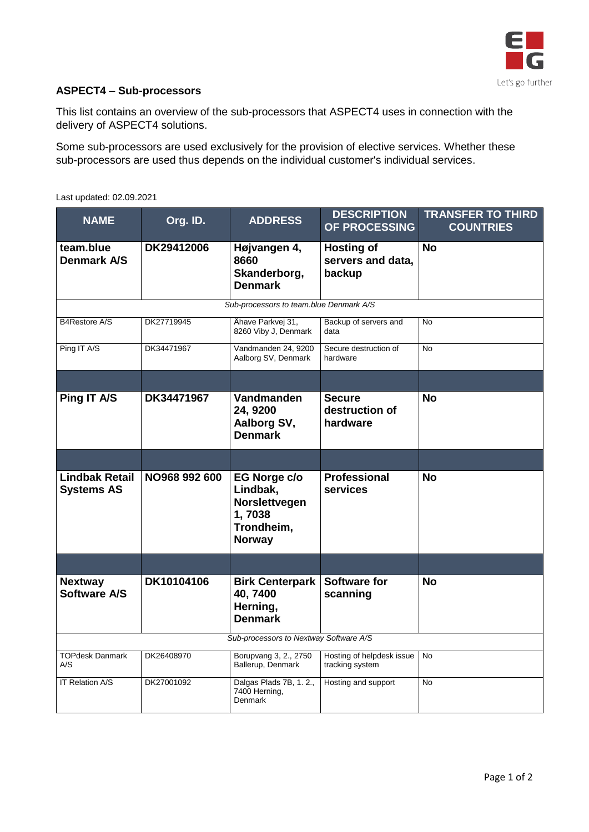

## **ASPECT4 – Sub-processors**

This list contains an overview of the sub-processors that ASPECT4 uses in connection with the delivery of ASPECT4 solutions.

Some sub-processors are used exclusively for the provision of elective services. Whether these sub-processors are used thus depends on the individual customer's individual services.

| <b>NAME</b>                                | Org. ID.      | <b>ADDRESS</b>                                                                     | <b>DESCRIPTION</b><br>OF PROCESSING              | <b>TRANSFER TO THIRD</b><br><b>COUNTRIES</b> |  |  |  |
|--------------------------------------------|---------------|------------------------------------------------------------------------------------|--------------------------------------------------|----------------------------------------------|--|--|--|
| team.blue<br><b>Denmark A/S</b>            | DK29412006    | Højvangen 4,<br>8660<br>Skanderborg,<br><b>Denmark</b>                             | <b>Hosting of</b><br>servers and data,<br>backup | <b>No</b>                                    |  |  |  |
| Sub-processors to team.blue Denmark A/S    |               |                                                                                    |                                                  |                                              |  |  |  |
| B4Restore A/S                              | DK27719945    | Åhave Parkvej 31,<br>8260 Viby J, Denmark                                          | Backup of servers and<br>data                    | <b>No</b>                                    |  |  |  |
| Ping IT A/S                                | DK34471967    | Vandmanden 24, 9200<br>Aalborg SV, Denmark                                         | Secure destruction of<br>hardware                | <b>No</b>                                    |  |  |  |
|                                            |               |                                                                                    |                                                  |                                              |  |  |  |
| Ping IT A/S                                | DK34471967    | Vandmanden<br>24, 9200<br>Aalborg SV,<br><b>Denmark</b>                            | <b>Secure</b><br>destruction of<br>hardware      | No                                           |  |  |  |
|                                            |               |                                                                                    |                                                  |                                              |  |  |  |
| <b>Lindbak Retail</b><br><b>Systems AS</b> | NO968 992 600 | EG Norge c/o<br>Lindbak,<br>Norslettvegen<br>1,7038<br>Trondheim,<br><b>Norway</b> | <b>Professional</b><br>services                  | <b>No</b>                                    |  |  |  |
|                                            |               |                                                                                    |                                                  |                                              |  |  |  |
| <b>Nextway</b><br>Software A/S             | DK10104106    | <b>Birk Centerpark</b><br>40,7400<br>Herning,<br><b>Denmark</b>                    | <b>Software for</b><br>scanning                  | <b>No</b>                                    |  |  |  |
| Sub-processors to Nextway Software A/S     |               |                                                                                    |                                                  |                                              |  |  |  |
| <b>TOPdesk Danmark</b><br>A/S              | DK26408970    | Borupvang 3, 2., 2750<br>Ballerup, Denmark                                         | Hosting of helpdesk issue<br>tracking system     | <b>No</b>                                    |  |  |  |
| <b>IT Relation A/S</b>                     | DK27001092    | Dalgas Plads 7B, 1.2.,<br>7400 Herning,<br><b>Denmark</b>                          | Hosting and support                              | <b>No</b>                                    |  |  |  |

Last updated: 02.09.2021